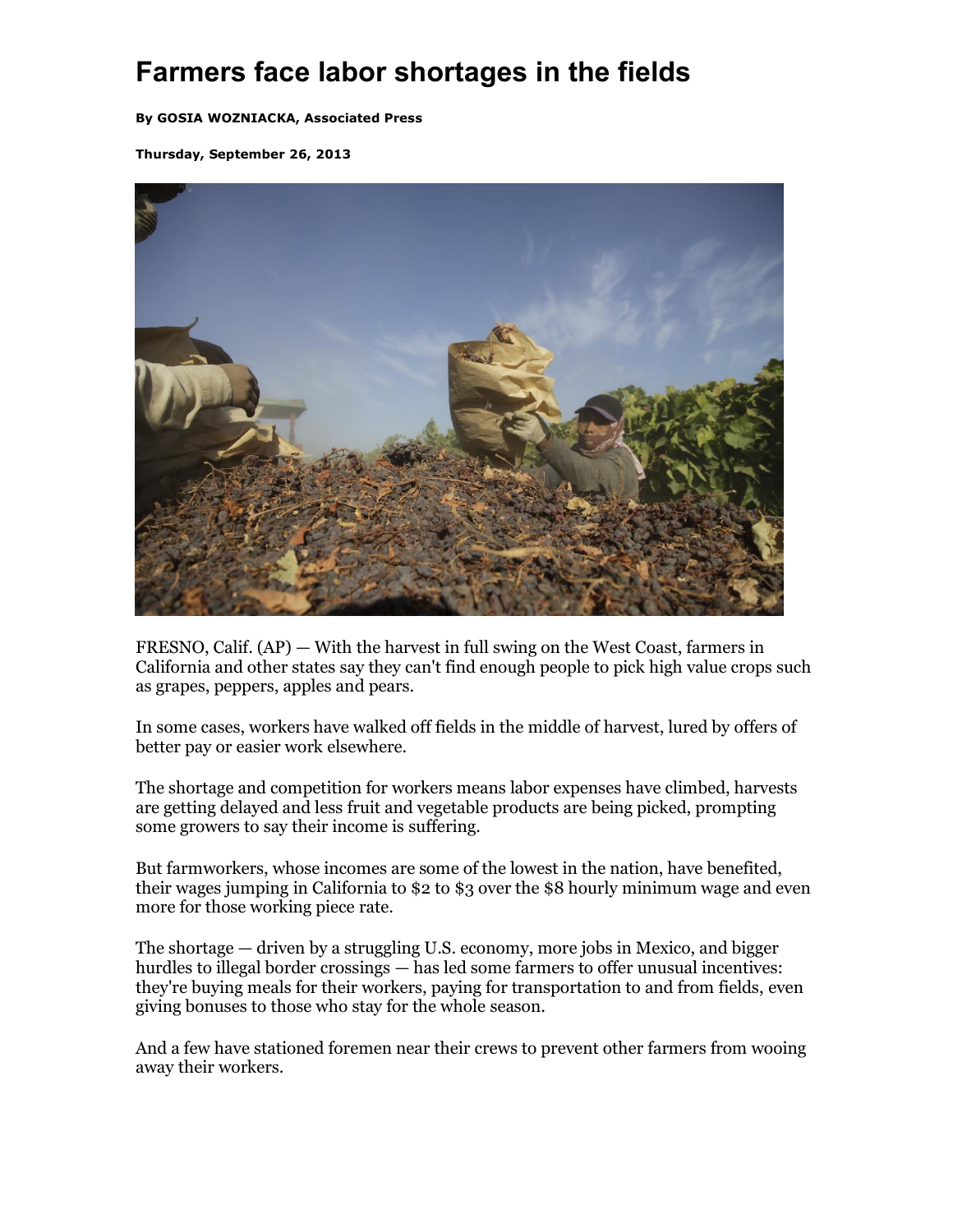## **Farmers face labor shortages in the fields**

## **By GOSIA WOZNIACKA, Associated Press**

**Thursday, September 26, 2013**



FRESNO, Calif. (AP) — With the harvest in full swing on the West Coast, farmers in California and other states say they can't find enough people to pick high value crops such as grapes, peppers, apples and pears.

In some cases, workers have walked off fields in the middle of harvest, lured by offers of better pay or easier work elsewhere.

The shortage and competition for workers means labor expenses have climbed, harvests are getting delayed and less fruit and vegetable products are being picked, prompting some growers to say their income is suffering.

But farmworkers, whose incomes are some of the lowest in the nation, have benefited, their wages jumping in California to \$2 to \$3 over the \$8 hourly minimum wage and even more for those working piece rate.

The shortage — driven by a struggling U.S. economy, more jobs in Mexico, and bigger hurdles to illegal border crossings — has led some farmers to offer unusual incentives: they're buying meals for their workers, paying for transportation to and from fields, even giving bonuses to those who stay for the whole season.

And a few have stationed foremen near their crews to prevent other farmers from wooing away their workers.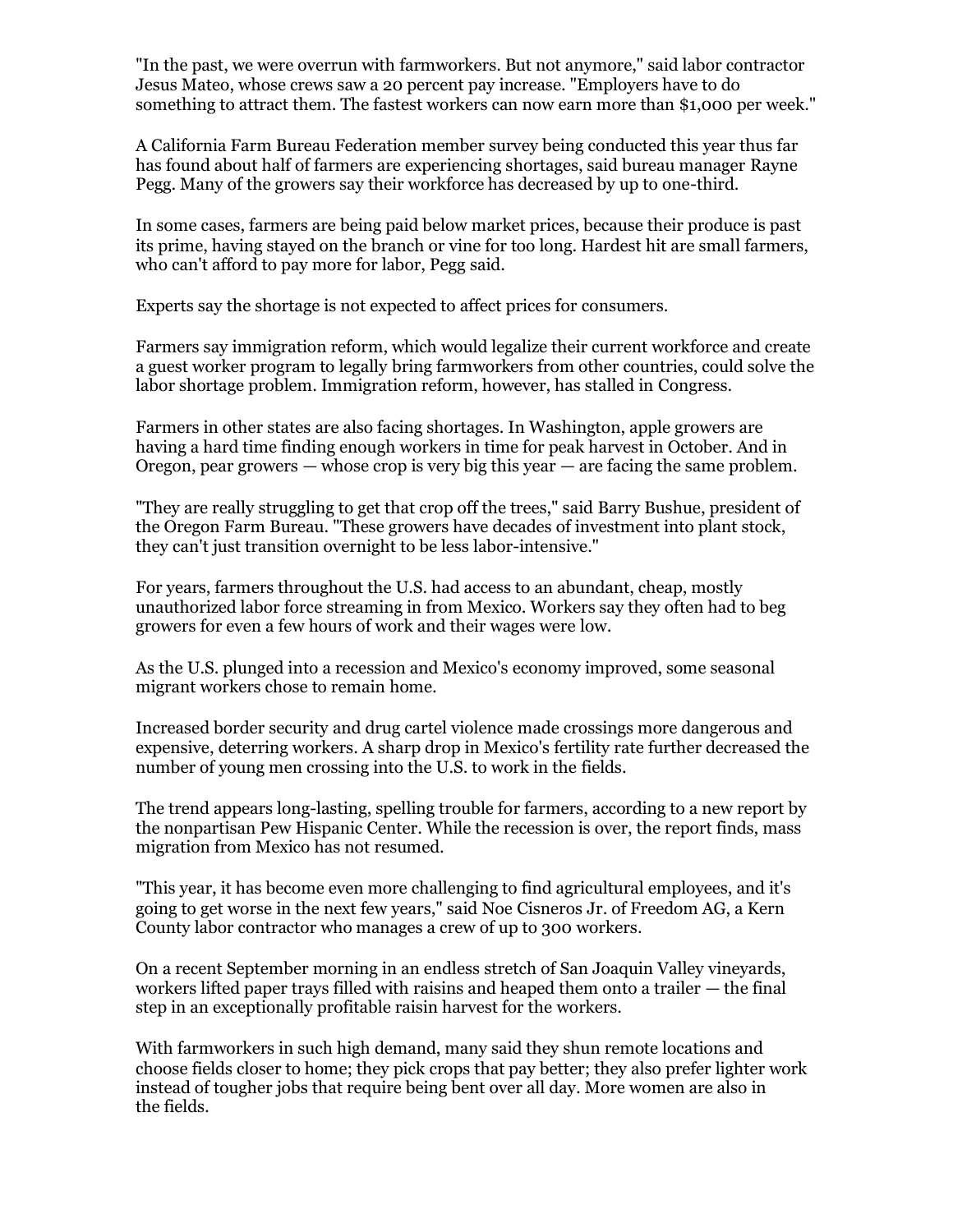"In the past, we were overrun with farmworkers. But not anymore," said labor contractor [Jesus Mateo,](http://www.sfgate.com/?controllerName=search&action=search&channel=news%2Fus&search=1&inlineLink=1&query=%22Jesus+Mateo%22) whose crews saw a 20 percent pay increase. "Employers have to do something to attract them. The fastest workers can now earn more than \$1,000 per week."

A [California Farm Bureau Federation](http://www.sfgate.com/?controllerName=search&action=search&channel=news%2Fus&search=1&inlineLink=1&query=%22California+Farm+Bureau+Federation%22) member survey being conducted this year thus far has found about half of farmers are experiencing shortages, said bureau manager [Rayne](http://www.sfgate.com/?controllerName=search&action=search&channel=news%2Fus&search=1&inlineLink=1&query=%22Rayne+Pegg%22)  [Pegg.](http://www.sfgate.com/?controllerName=search&action=search&channel=news%2Fus&search=1&inlineLink=1&query=%22Rayne+Pegg%22) Many of the growers say their workforce has decreased by up to one-third.

In some cases, farmers are being paid below market prices, because their produce is past its prime, having stayed on the branch or vine for too long. Hardest hit are small farmers, who can't afford to pay more for labor, Pegg said.

Experts say the shortage is not expected to affect prices for consumers.

Farmers say immigration reform, which would legalize their current workforce and create a guest worker program to legally bring farmworkers from other countries, could solve the labor shortage problem. Immigration reform, however, has stalled in Congress.

Farmers in other states are also facing shortages. In Washington, apple growers are having a hard time finding enough workers in time for peak harvest in October. And in Oregon, pear growers — whose crop is very big this year — are facing the same problem.

"They are really struggling to get that crop off the trees," said [Barry Bushue,](http://www.sfgate.com/?controllerName=search&action=search&channel=news%2Fus&search=1&inlineLink=1&query=%22Barry+Bushue%22) president of the [Oregon Farm Bureau.](http://www.sfgate.com/?controllerName=search&action=search&channel=news%2Fus&search=1&inlineLink=1&query=%22Oregon+Farm+Bureau%22) "These growers have decades of investment into plant stock, they can't just transition overnight to be less labor-intensive."

For years, farmers throughout the U.S. had access to an abundant, cheap, mostly unauthorized labor force streaming in from Mexico. Workers say they often had to beg growers for even a few hours of work and their wages were low.

As the U.S. plunged into a recession and Mexico's economy improved, some seasonal migrant workers chose to remain home.

Increased border security and drug cartel violence made crossings more dangerous and expensive, deterring workers. A sharp drop in Mexico's fertility rate further decreased the number of young men crossing into the U.S. to work in the fields.

The trend appears long-lasting, spelling trouble for farmers, according to a new report by the nonpartisan [Pew Hispanic Center.](http://www.sfgate.com/?controllerName=search&action=search&channel=news%2Fus&search=1&inlineLink=1&query=%22Pew+Hispanic+Center%22) While the recession is over, the report finds, mass migration from Mexico has not resumed.

"This year, it has become even more challenging to find agricultural employees, and it's going to get worse in the next few years," said [Noe Cisneros](http://www.sfgate.com/?controllerName=search&action=search&channel=news%2Fus&search=1&inlineLink=1&query=%22Noe+Cisneros%22) Jr. of Freedom AG, a Kern County labor contractor who manages a crew of up to 300 workers.

On a recent September morning in an endless stretch of San Joaquin Valley vineyards, workers lifted paper trays filled with raisins and heaped them onto a trailer — the final step in an exceptionally profitable raisin harvest for the workers.

With farmworkers in such high demand, many said they shun remote locations and choose fields closer to home; they pick crops that pay better; they also prefer lighter work instead of tougher jobs that require being bent over all day. More women are also in the fields.